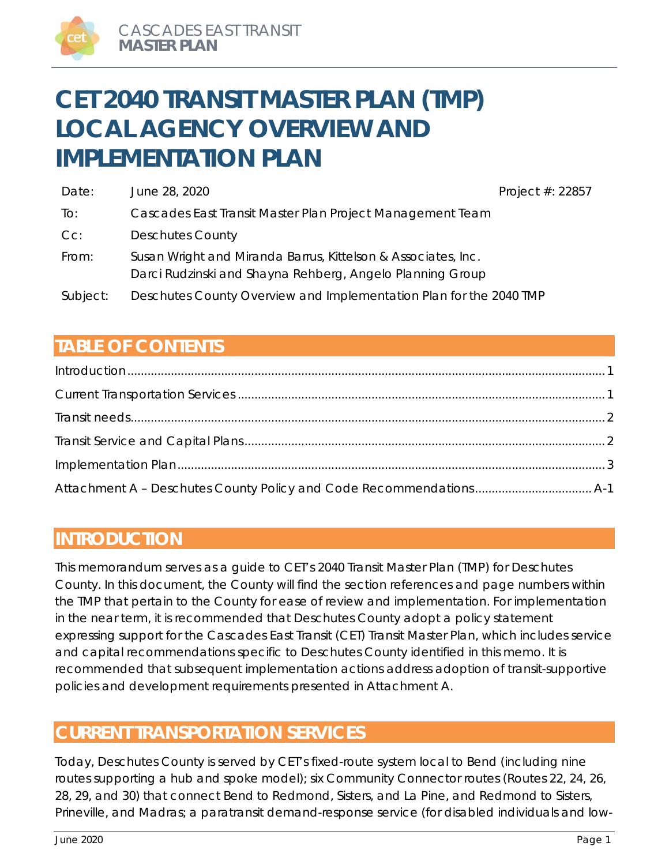# **CET 2040 TRANSIT MASTER PLAN (TMP) LOCAL AGENCY OVERVIEW AND IMPLEMENTATION PLAN**

| Date:    | June 28, 2020                                                                                                              | Project #: 22857 |
|----------|----------------------------------------------------------------------------------------------------------------------------|------------------|
| To:      | Cascades East Transit Master Plan Project Management Team                                                                  |                  |
| $Cc$ :   | <b>Deschutes County</b>                                                                                                    |                  |
| From:    | Susan Wright and Miranda Barrus, Kittelson & Associates, Inc.<br>Darci Rudzinski and Shayna Rehberg, Angelo Planning Group |                  |
| Subject: | Deschutes County Overview and Implementation Plan for the 2040 TMP                                                         |                  |

# **TABLE OF CONTENTS**

# **INTRODUCTION**

This memorandum serves as a guide to CET's 2040 Transit Master Plan (TMP) for Deschutes County. In this document, the County will find the section references and page numbers within the TMP that pertain to the County for ease of review and implementation. For implementation in the near term, it is recommended that Deschutes County adopt a policy statement expressing support for the Cascades East Transit (CET) Transit Master Plan, which includes service and capital recommendations specific to Deschutes County identified in this memo. It is recommended that subsequent implementation actions address adoption of transit-supportive policies and development requirements presented in Attachment A.

# **CURRENT TRANSPORTATION SERVICES**

Today, Deschutes County is served by CET's fixed-route system local to Bend (including nine routes supporting a hub and spoke model); six Community Connector routes (Routes 22, 24, 26, 28, 29, and 30) that connect Bend to Redmond, Sisters, and La Pine, and Redmond to Sisters, Prineville, and Madras; a paratransit demand-response service (for disabled individuals and low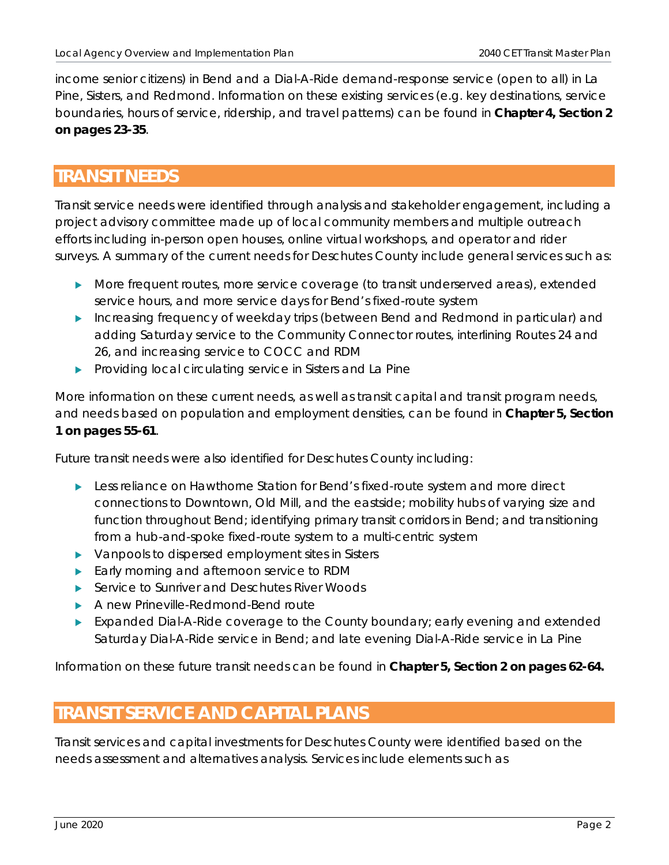income senior citizens) in Bend and a Dial-A-Ride demand-response service (open to all) in La Pine, Sisters, and Redmond. Information on these existing services (e.g. key destinations, service boundaries, hours of service, ridership, and travel patterns) can be found in **Chapter 4, Section 2 on pages 23-35**.

# **TRANSIT NEEDS**

Transit service needs were identified through analysis and stakeholder engagement, including a project advisory committee made up of local community members and multiple outreach efforts including in-person open houses, online virtual workshops, and operator and rider surveys. A summary of the current needs for Deschutes County include general services such as:

- More frequent routes, more service coverage (to transit underserved areas), extended service hours, and more service days for Bend's fixed-route system
- Increasing frequency of weekday trips (between Bend and Redmond in particular) and adding Saturday service to the Community Connector routes, interlining Routes 24 and 26, and increasing service to COCC and RDM
- **Providing local circulating service in Sisters and La Pine**

More information on these current needs, as well as transit capital and transit program needs, and needs based on population and employment densities, can be found in **Chapter 5, Section 1 on pages 55-61**.

Future transit needs were also identified for Deschutes County including:

- **Less reliance on Hawthorne Station for Bend's fixed-route system and more direct** connections to Downtown, Old Mill, and the eastside; mobility hubs of varying size and function throughout Bend; identifying primary transit corridors in Bend; and transitioning from a hub-and-spoke fixed-route system to a multi-centric system
- ▶ Vanpools to dispersed employment sites in Sisters
- Early morning and afternoon service to RDM
- ▶ Service to Sunriver and Deschutes River Woods
- A new Prineville-Redmond-Bend route
- Expanded Dial-A-Ride coverage to the County boundary; early evening and extended Saturday Dial-A-Ride service in Bend; and late evening Dial-A-Ride service in La Pine

Information on these future transit needs can be found in **Chapter 5, Section 2 on pages 62-64.**

# **TRANSIT SERVICE AND CAPITAL PLANS**

Transit services and capital investments for Deschutes County were identified based on the needs assessment and alternatives analysis. Services include elements such as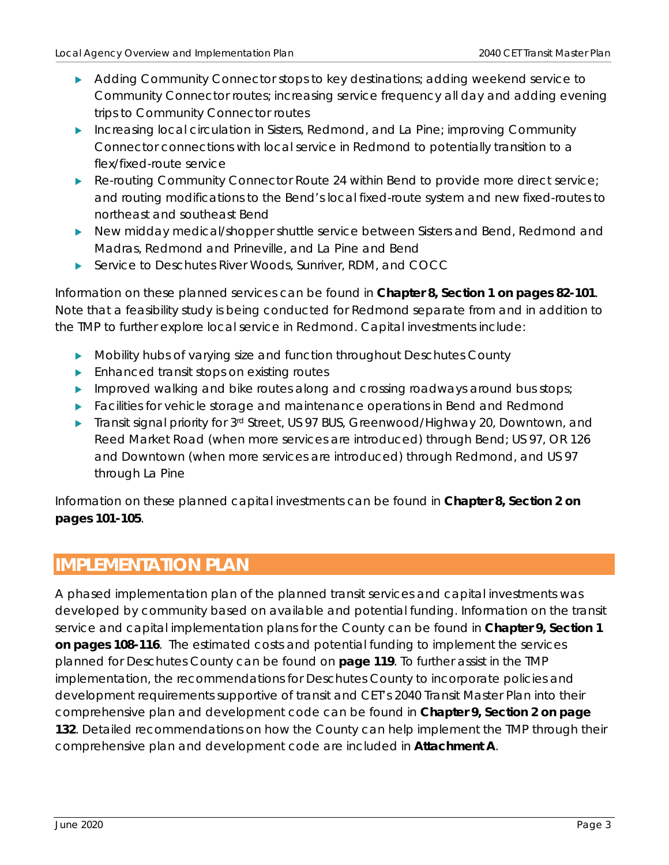- Adding Community Connector stops to key destinations; adding weekend service to Community Connector routes; increasing service frequency all day and adding evening trips to Community Connector routes
- Increasing local circulation in Sisters, Redmond, and La Pine; improving Community Connector connections with local service in Redmond to potentially transition to a flex/fixed-route service
- Re-routing Community Connector Route 24 within Bend to provide more direct service; and routing modifications to the Bend's local fixed-route system and new fixed-routes to northeast and southeast Bend
- New midday medical/shopper shuttle service between Sisters and Bend, Redmond and Madras, Redmond and Prineville, and La Pine and Bend
- Service to Deschutes River Woods, Sunriver, RDM, and COCC

Information on these planned services can be found in **Chapter 8, Section 1 on pages 82-101**. Note that a feasibility study is being conducted for Redmond separate from and in addition to the TMP to further explore local service in Redmond. Capital investments include:

- Mobility hubs of varying size and function throughout Deschutes County
- **Enhanced transit stops on existing routes**
- Improved walking and bike routes along and crossing roadways around bus stops;
- **Facilities for vehicle storage and maintenance operations in Bend and Redmond**
- Transit signal priority for 3rd Street, US 97 BUS, Greenwood/Highway 20, Downtown, and Reed Market Road (when more services are introduced) through Bend; US 97, OR 126 and Downtown (when more services are introduced) through Redmond, and US 97 through La Pine

Information on these planned capital investments can be found in **Chapter 8, Section 2 on pages 101-105**.

# **IMPLEMENTATION PLAN**

A phased implementation plan of the planned transit services and capital investments was developed by community based on available and potential funding. Information on the transit service and capital implementation plans for the County can be found in **Chapter 9, Section 1 on pages 108-116**. The estimated costs and potential funding to implement the services planned for Deschutes County can be found on **page 119**. To further assist in the TMP implementation, the recommendations for Deschutes County to incorporate policies and development requirements supportive of transit and CET's 2040 Transit Master Plan into their comprehensive plan and development code can be found in **Chapter 9, Section 2 on page 132**. Detailed recommendations on how the County can help implement the TMP through their comprehensive plan and development code are included in **Attachment A**.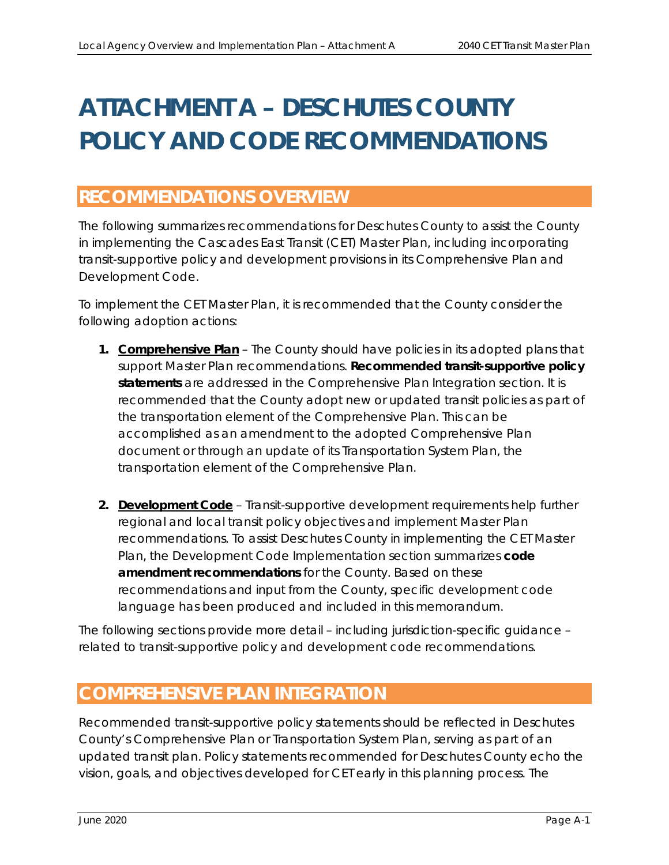# **ATTACHMENT A – DESCHUTES COUNTY POLICY AND CODE RECOMMENDATIONS**

# **RECOMMENDATIONS OVERVIEW**

The following summarizes recommendations for Deschutes County to assist the County in implementing the Cascades East Transit (CET) Master Plan, including incorporating transit-supportive policy and development provisions in its Comprehensive Plan and Development Code.

To implement the CET Master Plan, it is recommended that the County consider the following adoption actions:

- **1. Comprehensive Plan**  The County should have policies in its adopted plans that support Master Plan recommendations. **Recommended transit-supportive policy statements** are addressed in the *Comprehensive Plan Integration* section. It is recommended that the County adopt new or updated transit policies as part of the transportation element of the Comprehensive Plan. This can be accomplished as an amendment to the adopted Comprehensive Plan document or through an update of its Transportation System Plan, the transportation element of the Comprehensive Plan.
- **2. Development Code** Transit-supportive development requirements help further regional and local transit policy objectives and implement Master Plan recommendations. To assist Deschutes County in implementing the CET Master Plan, the *Development Code Implementation* section summarizes **code amendment recommendations** for the County. Based on these recommendations and input from the County, specific development code language has been produced and included in this memorandum.

The following sections provide more detail – including jurisdiction-specific guidance – related to transit-supportive policy and development code recommendations.

# **COMPREHENSIVE PLAN INTEGRATION**

Recommended transit-supportive policy statements should be reflected in Deschutes County's Comprehensive Plan or Transportation System Plan, serving as part of an updated transit plan. Policy statements recommended for Deschutes County echo the vision, goals, and objectives developed for CET early in this planning process. The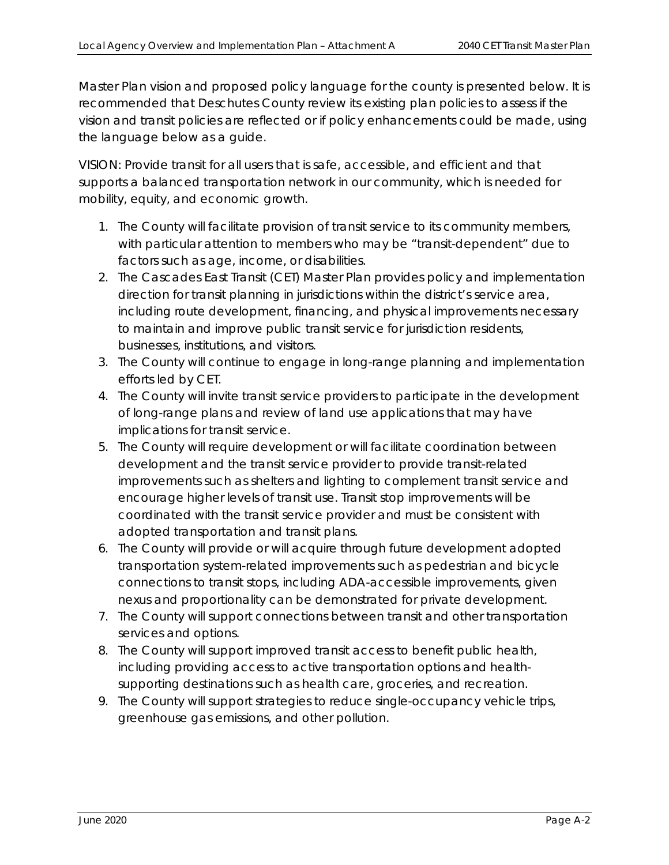Master Plan vision and proposed policy language for the county is presented below. It is recommended that Deschutes County review its existing plan policies to assess if the vision and transit policies are reflected or if policy enhancements could be made, using the language below as a guide.

VISION: Provide transit for all users that is safe, accessible, and efficient and that supports a balanced transportation network in our community, which is needed for mobility, equity, and economic growth.

- *1. The County will facilitate provision of transit service to its community members, with particular attention to members who may be "transit-dependent" due to factors such as age, income, or disabilities.*
- *2. The Cascades East Transit (CET) Master Plan provides policy and implementation direction for transit planning in jurisdictions within the district's service area, including route development, financing, and physical improvements necessary to maintain and improve public transit service for jurisdiction residents, businesses, institutions, and visitors.*
- *3. The County will continue to engage in long-range planning and implementation efforts led by CET.*
- *4. The County will invite transit service providers to participate in the development of long-range plans and review of land use applications that may have implications for transit service.*
- *5. The County will require development or will facilitate coordination between development and the transit service provider to provide transit-related improvements such as shelters and lighting to complement transit service and encourage higher levels of transit use. Transit stop improvements will be coordinated with the transit service provider and must be consistent with adopted transportation and transit plans.*
- *6. The County will provide or will acquire through future development adopted transportation system-related improvements such as pedestrian and bicycle connections to transit stops, including ADA-accessible improvements, given nexus and proportionality can be demonstrated for private development.*
- *7. The County will support connections between transit and other transportation services and options.*
- *8. The County will support improved transit access to benefit public health, including providing access to active transportation options and healthsupporting destinations such as health care, groceries, and recreation.*
- *9. The County will support strategies to reduce single-occupancy vehicle trips, greenhouse gas emissions, and other pollution.*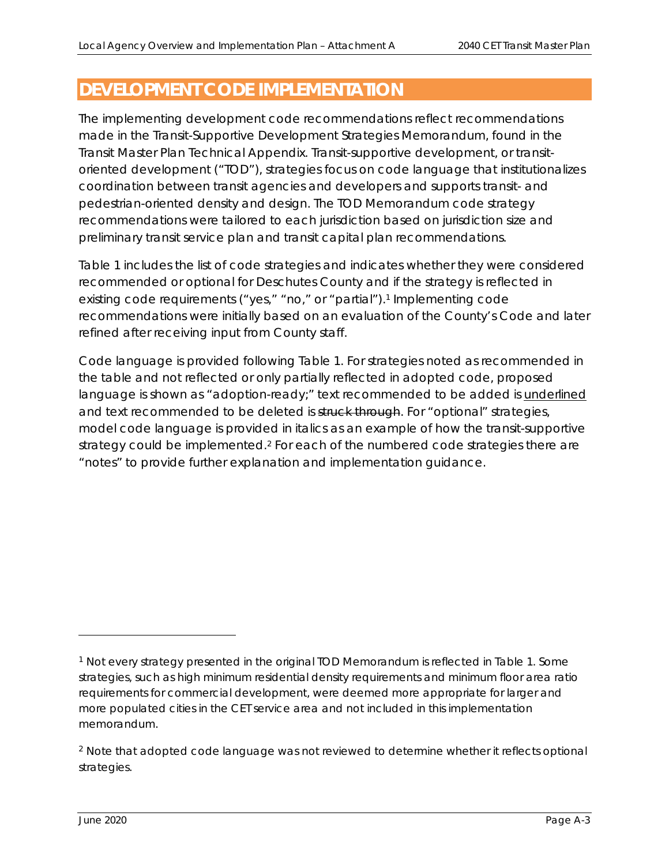# **DEVELOPMENT CODE IMPLEMENTATION**

The implementing development code recommendations reflect recommendations made in the Transit-Supportive Development Strategies Memorandum, found in the Transit Master Plan Technical Appendix. Transit-supportive development, or transitoriented development ("TOD"), strategies focus on code language that institutionalizes coordination between transit agencies and developers and supports transit- and pedestrian-oriented density and design. The TOD Memorandum code strategy recommendations were tailored to each jurisdiction based on jurisdiction size and preliminary transit service plan and transit capital plan recommendations.

Table 1 includes the list of code strategies and indicates whether they were considered recommended or optional for Deschutes County and if the strategy is reflected in existing code requirements ("yes," "no," or "partial").<sup>1</sup> Implementing code recommendations were initially based on an evaluation of the County's Code and later refined after receiving input from County staff.

Code language is provided following Table 1. For strategies noted as recommended in the table and not reflected or only partially reflected in adopted code, proposed language is shown as "adoption-ready;" text recommended to be added is *underlined* and text recommended to be deleted is struck through. For "optional" strategies, model code language is provided in *italics* as an example of how the transit-supportive strategy could be implemented.<sup>2</sup> For each of the numbered code strategies there are "notes" to provide further explanation and implementation guidance.

<sup>1</sup> Not every strategy presented in the original TOD Memorandum is reflected in Table 1. Some strategies, such as high minimum residential density requirements and minimum floor area ratio requirements for commercial development, were deemed more appropriate for larger and more populated cities in the CET service area and not included in this implementation memorandum.

<sup>&</sup>lt;sup>2</sup> Note that adopted code language was not reviewed to determine whether it reflects optional strategies.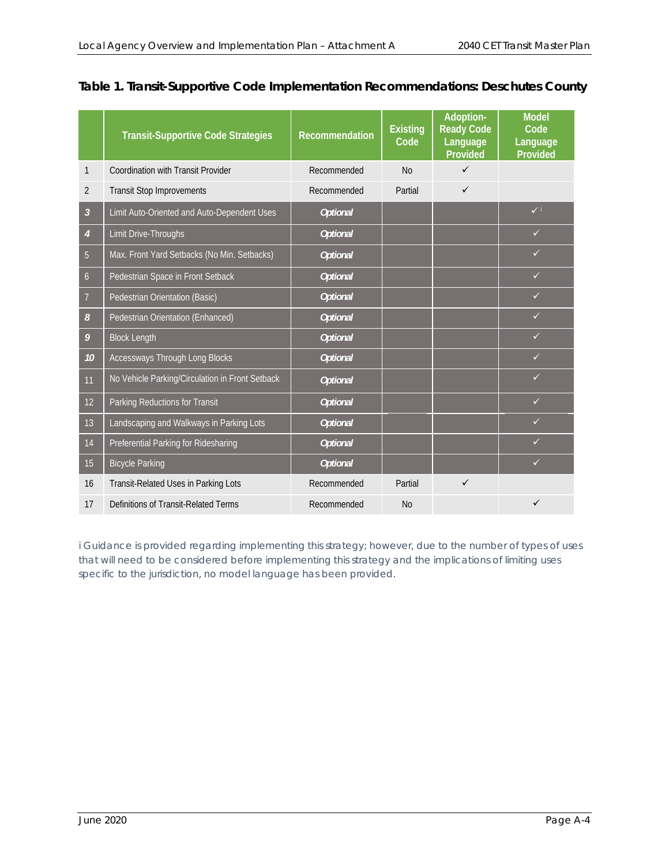|                | <b>Transit-Supportive Code Strategies</b>       | Recommendation  | <b>Existing</b><br>Code | Adoption-<br><b>Ready Code</b><br>Language<br><b>Provided</b> | <b>Model</b><br>Code<br>Language<br>Provided |
|----------------|-------------------------------------------------|-----------------|-------------------------|---------------------------------------------------------------|----------------------------------------------|
| 1              | <b>Coordination with Transit Provider</b>       | Recommended     | <b>No</b>               | $\checkmark$                                                  |                                              |
| 2              | <b>Transit Stop Improvements</b>                | Recommended     | Partial                 | $\checkmark$                                                  |                                              |
| $\overline{3}$ | Limit Auto-Oriented and Auto-Dependent Uses     | <b>Optional</b> |                         |                                                               | $\checkmark$                                 |
| $\overline{4}$ | Limit Drive-Throughs                            | <b>Optional</b> |                         |                                                               | $\checkmark$                                 |
| 5              | Max. Front Yard Setbacks (No Min. Setbacks)     | <b>Optional</b> |                         |                                                               | ✓                                            |
| $\overline{6}$ | Pedestrian Space in Front Setback               | <b>Optional</b> |                         |                                                               | $\checkmark$                                 |
| 7              | Pedestrian Orientation (Basic)                  | <b>Optional</b> |                         |                                                               | ✓                                            |
| 8              | Pedestrian Orientation (Enhanced)               | <b>Optional</b> |                         |                                                               | $\checkmark$                                 |
| 9              | <b>Block Length</b>                             | <b>Optional</b> |                         |                                                               | $\checkmark$                                 |
| 10             | Accessways Through Long Blocks                  | <b>Optional</b> |                         |                                                               | ✓                                            |
| 11             | No Vehicle Parking/Circulation in Front Setback | <b>Optional</b> |                         |                                                               | ✓                                            |
| 12             | Parking Reductions for Transit                  | <b>Optional</b> |                         |                                                               | $\checkmark$                                 |
| 13             | Landscaping and Walkways in Parking Lots        | <b>Optional</b> |                         |                                                               | ✓                                            |
| 14             | Preferential Parking for Ridesharing            | <b>Optional</b> |                         |                                                               |                                              |
| 15             | <b>Bicycle Parking</b>                          | <b>Optional</b> |                         |                                                               | $\checkmark$                                 |
| 16             | Transit-Related Uses in Parking Lots            | Recommended     | Partial                 | $\checkmark$                                                  |                                              |
| 17             | Definitions of Transit-Related Terms            | Recommended     | <b>No</b>               |                                                               | ✓                                            |

## **Table 1. Transit-Supportive Code Implementation Recommendations: Deschutes County**

*i Guidance is provided regarding implementing this strategy; however, due to the number of types of uses that will need to be considered before implementing this strategy and the implications of limiting uses specific to the jurisdiction, no model language has been provided.*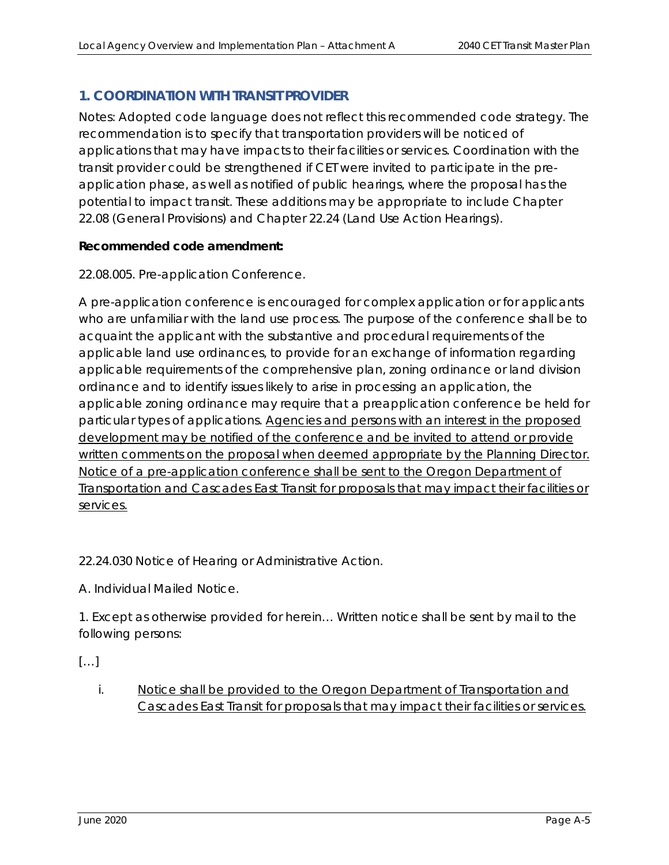# **1. COORDINATION WITH TRANSIT PROVIDER**

Notes: Adopted code language does not reflect this recommended code strategy. The recommendation is to specify that transportation providers will be noticed of applications that may have impacts to their facilities or services. Coordination with the transit provider could be strengthened if CET were invited to participate in the preapplication phase, as well as notified of public hearings, where the proposal has the potential to impact transit. These additions may be appropriate to include Chapter 22.08 (General Provisions) and Chapter 22.24 (Land Use Action Hearings).

#### **Recommended code amendment:**

22.08.005. Pre-application Conference.

A pre-application conference is encouraged for complex application or for applicants who are unfamiliar with the land use process. The purpose of the conference shall be to acquaint the applicant with the substantive and procedural requirements of the applicable land use ordinances, to provide for an exchange of information regarding applicable requirements of the comprehensive plan, zoning ordinance or land division ordinance and to identify issues likely to arise in processing an application, the applicable zoning ordinance may require that a preapplication conference be held for particular types of applications. Agencies and persons with an interest in the proposed development may be notified of the conference and be invited to attend or provide written comments on the proposal when deemed appropriate by the Planning Director. Notice of a pre-application conference shall be sent to the Oregon Department of Transportation and Cascades East Transit for proposals that may impact their facilities or services.

22.24.030 Notice of Hearing or Administrative Action.

A. Individual Mailed Notice.

1. Except as otherwise provided for herein… Written notice shall be sent by mail to the following persons:

*[…]* 

i. Notice shall be provided to the Oregon Department of Transportation and Cascades East Transit for proposals that may impact their facilities or services.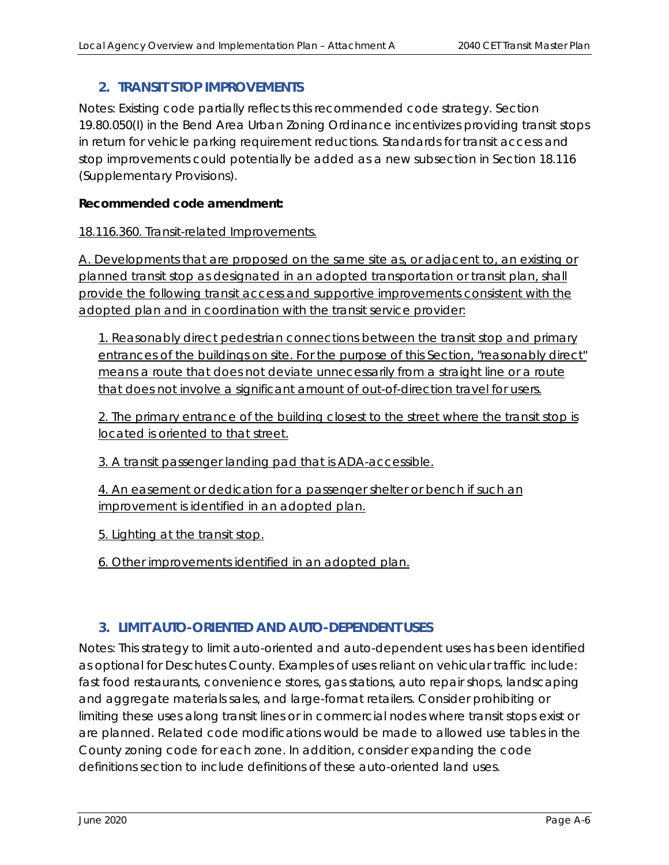## **2. TRANSIT STOP IMPROVEMENTS**

Notes: Existing code partially reflects this recommended code strategy. Section 19.80.050(I) in the Bend Area Urban Zoning Ordinance incentivizes providing transit stops in return for vehicle parking requirement reductions. Standards for transit access and stop improvements could potentially be added as a new subsection in Section 18.116 (Supplementary Provisions).

#### **Recommended code amendment:**

#### 18.116.360. Transit-related Improvements.

A. Developments that are proposed on the same site as, or adjacent to, an existing or planned transit stop as designated in an adopted transportation or transit plan, shall provide the following transit access and supportive improvements consistent with the adopted plan and in coordination with the transit service provider:

1. Reasonably direct pedestrian connections between the transit stop and primary entrances of the buildings on site. For the purpose of this Section, "reasonably direct" means a route that does not deviate unnecessarily from a straight line or a route that does not involve a significant amount of out-of-direction travel for users.

2. The primary entrance of the building closest to the street where the transit stop is located is oriented to that street.

3. A transit passenger landing pad that is ADA-accessible.

4. An easement or dedication for a passenger shelter or bench if such an improvement is identified in an adopted plan.

5. Lighting at the transit stop.

6. Other improvements identified in an adopted plan.

# **3. LIMIT AUTO-ORIENTED AND AUTO-DEPENDENT USES**

Notes: This strategy to limit auto-oriented and auto-dependent uses has been identified as optional for Deschutes County. Examples of uses reliant on vehicular traffic include: fast food restaurants, convenience stores, gas stations, auto repair shops, landscaping and aggregate materials sales, and large-format retailers. Consider prohibiting or limiting these uses along transit lines or in commercial nodes where transit stops exist or are planned. Related code modifications would be made to allowed use tables in the County zoning code for each zone. In addition, consider expanding the code definitions section to include definitions of these auto-oriented land uses.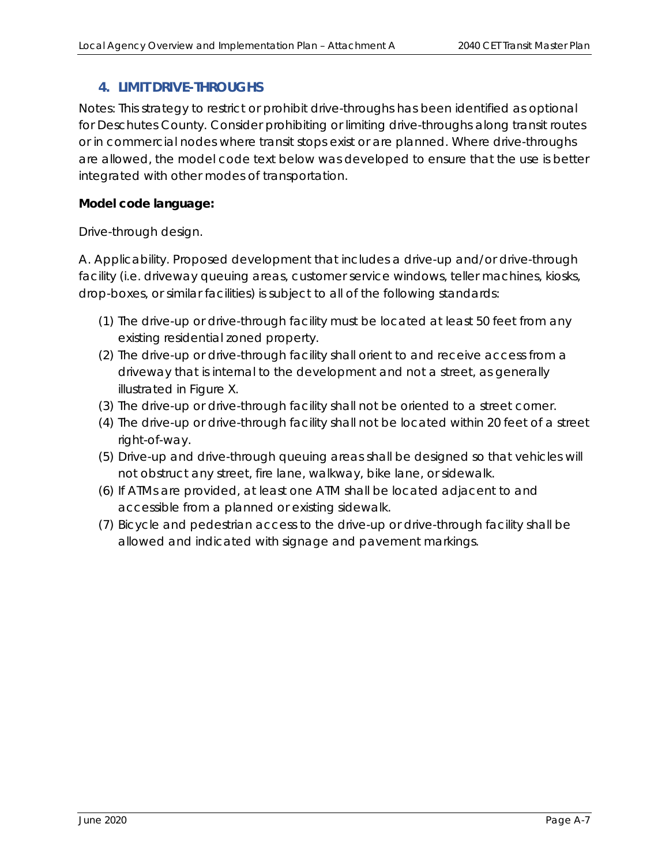## **4. LIMIT DRIVE-THROUGHS**

Notes: This strategy to restrict or prohibit drive-throughs has been identified as optional for Deschutes County. Consider prohibiting or limiting drive-throughs along transit routes or in commercial nodes where transit stops exist or are planned. Where drive-throughs are allowed, the model code text below was developed to ensure that the use is better integrated with other modes of transportation.

### **Model code language:**

#### *Drive-through design.*

*A. Applicability. Proposed development that includes a drive-up and/or drive-through facility (i.e. driveway queuing areas, customer service windows, teller machines, kiosks, drop-boxes, or similar facilities) is subject to all of the following standards:* 

- *(1) The drive-up or drive-through facility must be located at least 50 feet from any existing residential zoned property.*
- *(2) The drive-up or drive-through facility shall orient to and receive access from a driveway that is internal to the development and not a street, as generally illustrated in Figure X.*
- *(3) The drive-up or drive-through facility shall not be oriented to a street corner.*
- *(4) The drive-up or drive-through facility shall not be located within 20 feet of a street right-of-way.*
- *(5) Drive-up and drive-through queuing areas shall be designed so that vehicles will not obstruct any street, fire lane, walkway, bike lane, or sidewalk.*
- *(6) If ATMs are provided, at least one ATM shall be located adjacent to and accessible from a planned or existing sidewalk.*
- *(7) Bicycle and pedestrian access to the drive-up or drive-through facility shall be allowed and indicated with signage and pavement markings.*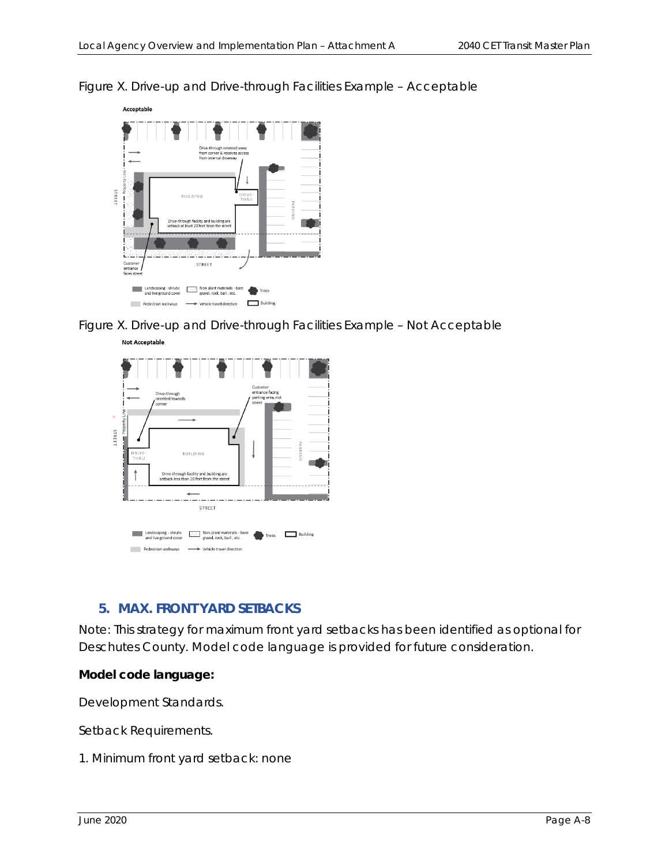

*Figure X. Drive-up and Drive-through Facilities Example – Acceptable* 

*Figure X. Drive-up and Drive-through Facilities Example – Not Acceptable* 



# **5. MAX. FRONT YARD SETBACKS**

Note: This strategy for maximum front yard setbacks has been identified as optional for Deschutes County. Model code language is provided for future consideration.

#### **Model code language:**

*Development Standards.* 

*Setback Requirements.* 

*<sup>1.</sup> Minimum front yard setback: none*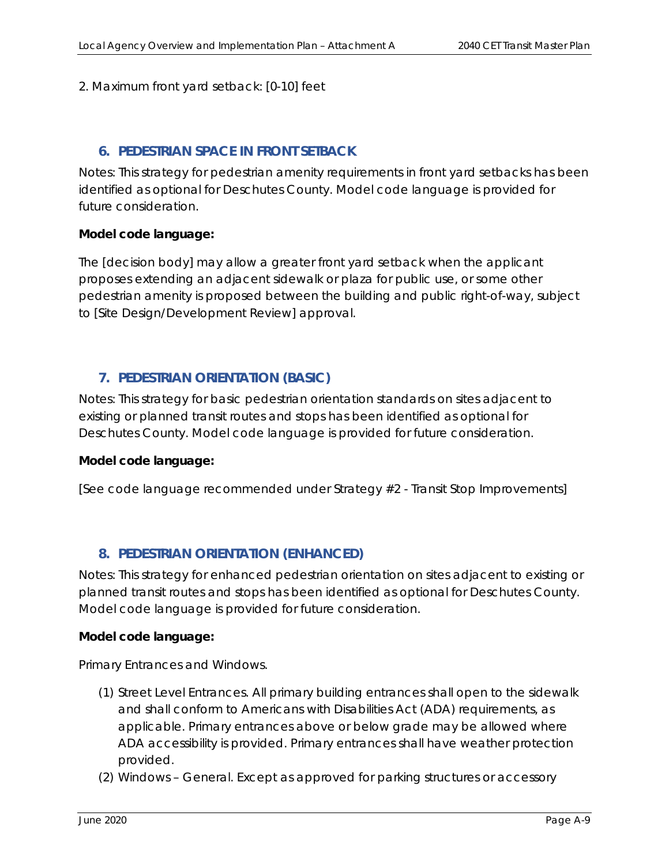#### *2. Maximum front yard setback: [0-10] feet*

#### **6. PEDESTRIAN SPACE IN FRONT SETBACK**

Notes: This strategy for pedestrian amenity requirements in front yard setbacks has been identified as optional for Deschutes County. Model code language is provided for future consideration.

#### **Model code language:**

*The [decision body] may allow a greater front yard setback when the applicant proposes extending an adjacent sidewalk or plaza for public use, or some other pedestrian amenity is proposed between the building and public right-of-way, subject to [Site Design/Development Review] approval.* 

#### **7. PEDESTRIAN ORIENTATION (BASIC)**

Notes: This strategy for basic pedestrian orientation standards on sites adjacent to existing or planned transit routes and stops has been identified as optional for Deschutes County. Model code language is provided for future consideration.

#### **Model code language:**

*[See code language recommended under Strategy #2 - Transit Stop Improvements]* 

#### **8. PEDESTRIAN ORIENTATION (ENHANCED)**

Notes: This strategy for enhanced pedestrian orientation on sites adjacent to existing or planned transit routes and stops has been identified as optional for Deschutes County. Model code language is provided for future consideration.

#### **Model code language:**

*Primary Entrances and Windows.* 

- *(1) Street Level Entrances. All primary building entrances shall open to the sidewalk and shall conform to Americans with Disabilities Act (ADA) requirements, as applicable. Primary entrances above or below grade may be allowed where ADA accessibility is provided. Primary entrances shall have weather protection provided.*
- *(2) Windows General. Except as approved for parking structures or accessory*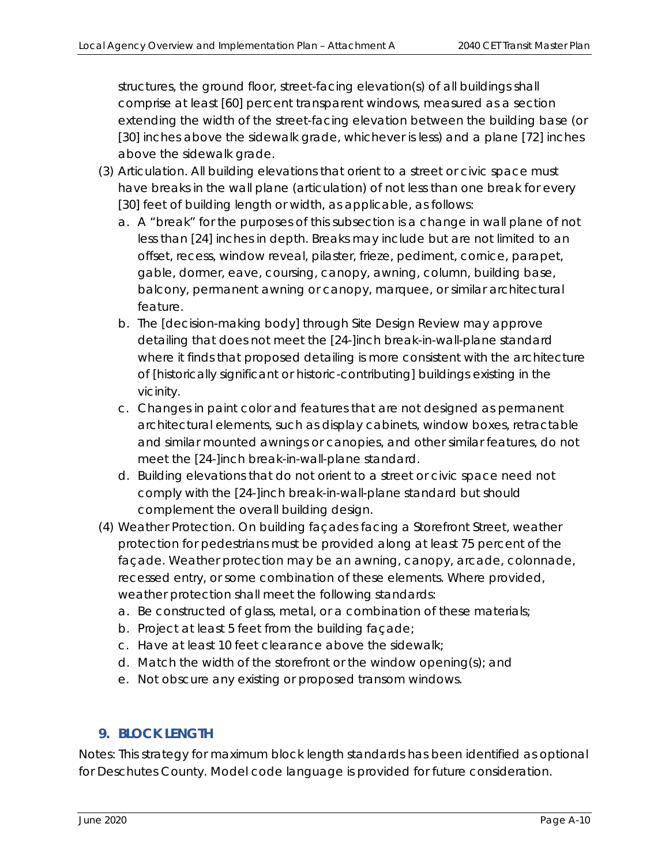*structures, the ground floor, street-facing elevation(s) of all buildings shall comprise at least [60] percent transparent windows, measured as a section extending the width of the street-facing elevation between the building base (or [30] inches above the sidewalk grade, whichever is less) and a plane [72] inches above the sidewalk grade.* 

- *(3) Articulation. All building elevations that orient to a street or civic space must have breaks in the wall plane (articulation) of not less than one break for every*  [30] feet of building length or width, as applicable, as follows:
	- *a. A "break" for the purposes of this subsection is a change in wall plane of not*  less than [24] inches in depth. Breaks may include but are not limited to an *offset, recess, window reveal, pilaster, frieze, pediment, cornice, parapet, gable, dormer, eave, coursing, canopy, awning, column, building base, balcony, permanent awning or canopy, marquee, or similar architectural feature.*
	- *b. The [decision-making body] through Site Design Review may approve detailing that does not meet the [24-]inch break-in-wall-plane standard where it finds that proposed detailing is more consistent with the architecture of [historically significant or historic-contributing] buildings existing in the vicinity.*
	- *c. Changes in paint color and features that are not designed as permanent architectural elements, such as display cabinets, window boxes, retractable and similar mounted awnings or canopies, and other similar features, do not meet the [24-]inch break-in-wall-plane standard.*
	- *d. Building elevations that do not orient to a street or civic space need not comply with the [24-]inch break-in-wall-plane standard but should complement the overall building design.*
- *(4) Weather Protection. On building façades facing a Storefront Street, weather protection for pedestrians must be provided along at least 75 percent of the façade. Weather protection may be an awning, canopy, arcade, colonnade, recessed entry, or some combination of these elements. Where provided, weather protection shall meet the following standards:* 
	- *a. Be constructed of glass, metal, or a combination of these materials;*
	- *b. Project at least 5 feet from the building façade;*
	- *c. Have at least 10 feet clearance above the sidewalk;*
	- *d. Match the width of the storefront or the window opening(s); and*
	- *e. Not obscure any existing or proposed transom windows.*

# **9. BLOCK LENGTH**

Notes: This strategy for maximum block length standards has been identified as optional for Deschutes County. Model code language is provided for future consideration.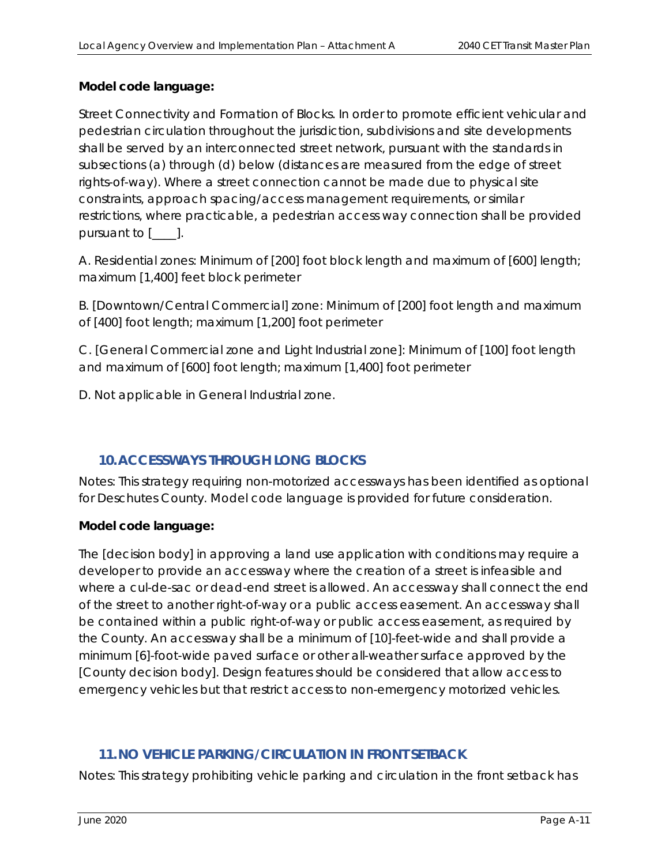#### **Model code language:**

*Street Connectivity and Formation of Blocks. In order to promote efficient vehicular and pedestrian circulation throughout the jurisdiction, subdivisions and site developments shall be served by an interconnected street network, pursuant with the standards in subsections (a) through (d) below (distances are measured from the edge of street rights-of-way). Where a street connection cannot be made due to physical site constraints, approach spacing/access management requirements, or similar restrictions, where practicable, a pedestrian access way connection shall be provided pursuant to [\_\_\_\_].* 

*A. Residential zones: Minimum of [200] foot block length and maximum of [600] length; maximum [1,400] feet block perimeter* 

*B. [Downtown/Central Commercial] zone: Minimum of [200] foot length and maximum of [400] foot length; maximum [1,200] foot perimeter* 

*C. [General Commercial zone and Light Industrial zone]: Minimum of [100] foot length and maximum of [600] foot length; maximum [1,400] foot perimeter* 

*D. Not applicable in General Industrial zone.* 

# **10.ACCESSWAYS THROUGH LONG BLOCKS**

Notes: This strategy requiring non-motorized accessways has been identified as optional for Deschutes County. Model code language is provided for future consideration.

#### **Model code language:**

*The [decision body] in approving a land use application with conditions may require a developer to provide an accessway where the creation of a street is infeasible and where a cul-de-sac or dead-end street is allowed. An accessway shall connect the end of the street to another right-of-way or a public access easement. An accessway shall be contained within a public right-of-way or public access easement, as required by the County. An accessway shall be a minimum of [10]-feet-wide and shall provide a minimum [6]-foot-wide paved surface or other all-weather surface approved by the [County decision body]. Design features should be considered that allow access to emergency vehicles but that restrict access to non-emergency motorized vehicles.* 

#### **11.NO VEHICLE PARKING/CIRCULATION IN FRONT SETBACK**

Notes: This strategy prohibiting vehicle parking and circulation in the front setback has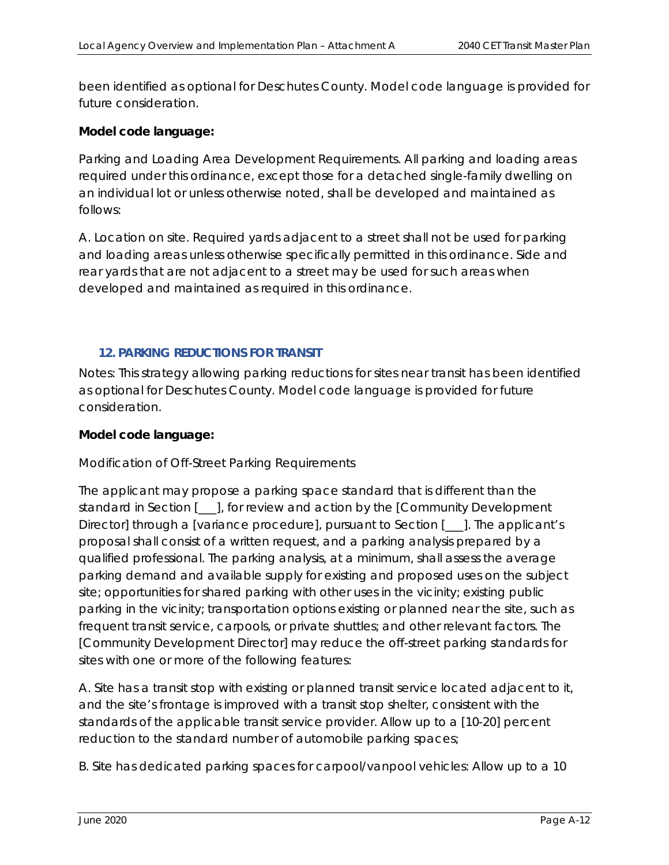been identified as optional for Deschutes County. Model code language is provided for future consideration.

#### **Model code language:**

*Parking and Loading Area Development Requirements. All parking and loading areas required under this ordinance, except those for a detached single-family dwelling on an individual lot or unless otherwise noted, shall be developed and maintained as follows:* 

*A. Location on site. Required yards adjacent to a street shall not be used for parking and loading areas unless otherwise specifically permitted in this ordinance. Side and*  rear yards that are not adjacent to a street may be used for such areas when *developed and maintained as required in this ordinance.* 

#### **12. PARKING REDUCTIONS FOR TRANSIT**

Notes*:* This strategy allowing parking reductions for sites near transit has been identified as optional for Deschutes County. Model code language is provided for future consideration.

#### **Model code language:**

#### *Modification of Off-Street Parking Requirements*

*The applicant may propose a parking space standard that is different than the standard in Section [\_\_\_], for review and action by the [Community Development Director] through a [variance procedure], pursuant to Section [\_\_\_]. The applicant's proposal shall consist of a written request, and a parking analysis prepared by a qualified professional. The parking analysis, at a minimum, shall assess the average parking demand and available supply for existing and proposed uses on the subject site; opportunities for shared parking with other uses in the vicinity; existing public parking in the vicinity; transportation options existing or planned near the site, such as frequent transit service, carpools, or private shuttles; and other relevant factors. The [Community Development Director] may reduce the off-street parking standards for sites with one or more of the following features:* 

*A. Site has a transit stop with existing or planned transit service located adjacent to it, and the site's frontage is improved with a transit stop shelter, consistent with the standards of the applicable transit service provider. Allow up to a [10-20] percent reduction to the standard number of automobile parking spaces;* 

*B. Site has dedicated parking spaces for carpool/vanpool vehicles: Allow up to a 10*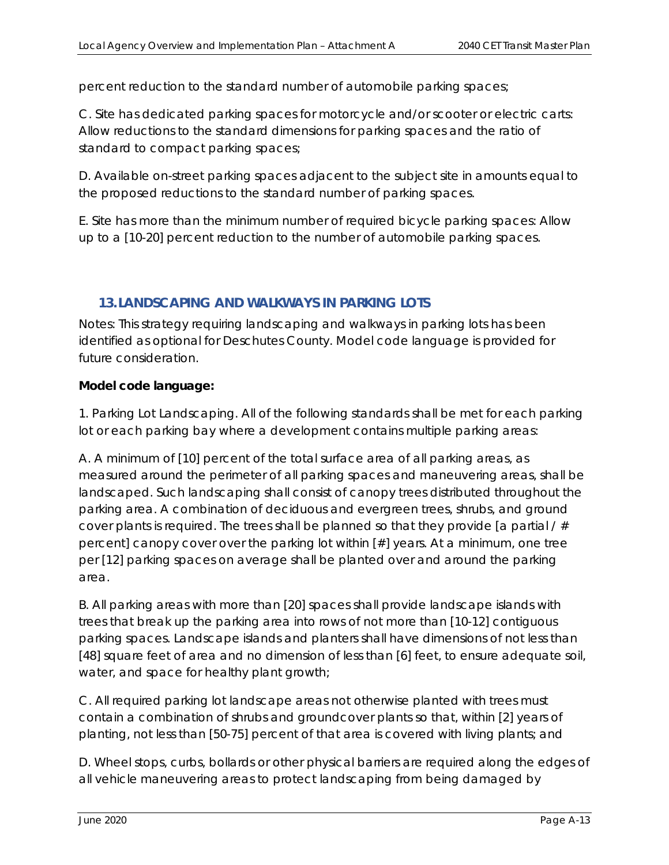*percent reduction to the standard number of automobile parking spaces;* 

*C. Site has dedicated parking spaces for motorcycle and/or scooter or electric carts: Allow reductions to the standard dimensions for parking spaces and the ratio of standard to compact parking spaces;* 

*D. Available on-street parking spaces adjacent to the subject site in amounts equal to the proposed reductions to the standard number of parking spaces.* 

*E. Site has more than the minimum number of required bicycle parking spaces: Allow up to a [10-20] percent reduction to the number of automobile parking spaces.* 

#### **13.LANDSCAPING AND WALKWAYS IN PARKING LOTS**

Notes*:* This strategy requiring landscaping and walkways in parking lots has been identified as optional for Deschutes County. Model code language is provided for future consideration.

#### **Model code language:**

1. Parking Lot Landscaping. All of the following standards shall be met for each parking *lot or each parking bay where a development contains multiple parking areas:* 

*A. A minimum of [10] percent of the total surface area of all parking areas, as measured around the perimeter of all parking spaces and maneuvering areas, shall be*  landscaped. Such landscaping shall consist of canopy trees distributed throughout the *parking area. A combination of deciduous and evergreen trees, shrubs, and ground cover plants is required. The trees shall be planned so that they provide [a partial / # percent] canopy cover over the parking lot within [#] years. At a minimum, one tree*  per [12] parking spaces on average shall be planted over and around the parking *area.* 

*B. All parking areas with more than [20] spaces shall provide landscape islands with trees that break up the parking area into rows of not more than [10-12] contiguous parking spaces. Landscape islands and planters shall have dimensions of not less than [48] square feet of area and no dimension of less than [6] feet, to ensure adequate soil, water, and space for healthy plant growth;* 

*C. All required parking lot landscape areas not otherwise planted with trees must contain a combination of shrubs and groundcover plants so that, within [2] years of planting, not less than [50-75] percent of that area is covered with living plants; and* 

*D. Wheel stops, curbs, bollards or other physical barriers are required along the edges of all vehicle maneuvering areas to protect landscaping from being damaged by*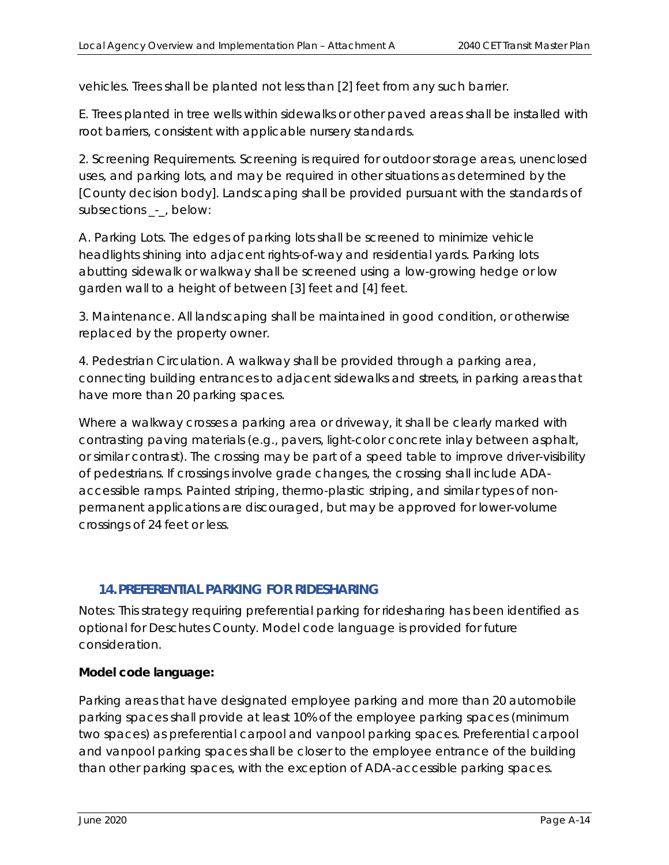*vehicles. Trees shall be planted not less than [2] feet from any such barrier.* 

*E. Trees planted in tree wells within sidewalks or other paved areas shall be installed with root barriers, consistent with applicable nursery standards.* 

*2. Screening Requirements. Screening is required for outdoor storage areas, unenclosed uses, and parking lots, and may be required in other situations as determined by the [County decision body]. Landscaping shall be provided pursuant with the standards of subsections \_-\_, below:* 

*A. Parking Lots. The edges of parking lots shall be screened to minimize vehicle headlights shining into adjacent rights-of-way and residential yards. Parking lots abutting sidewalk or walkway shall be screened using a low-growing hedge or low garden wall to a height of between [3] feet and [4] feet.* 

*3. Maintenance. All landscaping shall be maintained in good condition, or otherwise replaced by the property owner.* 

*4. Pedestrian Circulation. A walkway shall be provided through a parking area, connecting building entrances to adjacent sidewalks and streets, in parking areas that have more than 20 parking spaces.* 

*Where a walkway crosses a parking area or driveway, it shall be clearly marked with contrasting paving materials (e.g., pavers, light-color concrete inlay between asphalt, or similar contrast). The crossing may be part of a speed table to improve driver-visibility of pedestrians. If crossings involve grade changes, the crossing shall include ADAaccessible ramps. Painted striping, thermo-plastic striping, and similar types of nonpermanent applications are discouraged, but may be approved for lower-volume crossings of 24 feet or less.* 

# **14.PREFERENTIAL PARKING FOR RIDESHARING**

Notes*:* This strategy requiring preferential parking for ridesharing has been identified as optional for Deschutes County. Model code language is provided for future consideration.

# **Model code language:**

*Parking areas that have designated employee parking and more than 20 automobile parking spaces shall provide at least 10% of the employee parking spaces (minimum two spaces) as preferential carpool and vanpool parking spaces. Preferential carpool and vanpool parking spaces shall be closer to the employee entrance of the building than other parking spaces, with the exception of ADA-accessible parking spaces.*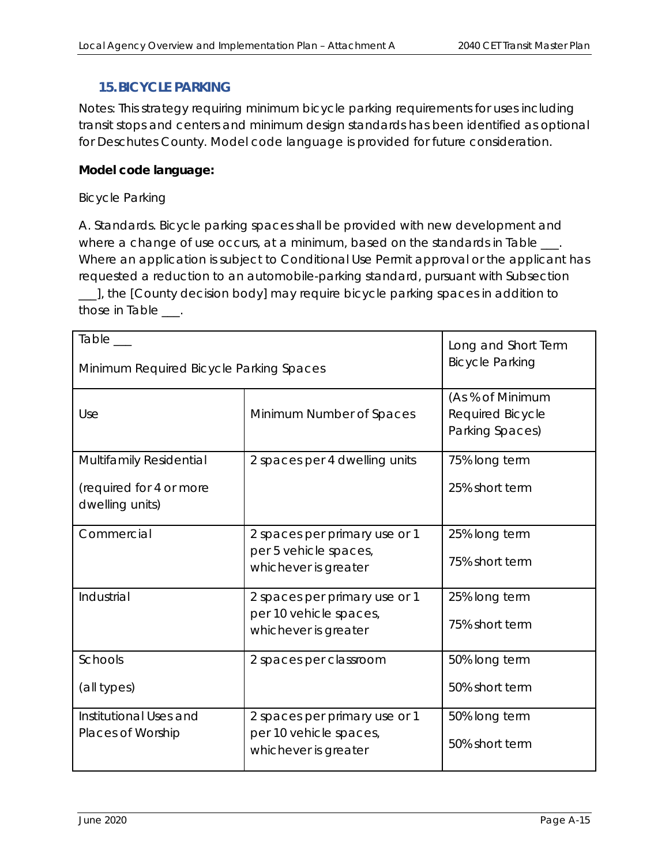### **15.BICYCLE PARKING**

Notes*:* This strategy requiring minimum bicycle parking requirements for uses including transit stops and centers and minimum design standards has been identified as optional for Deschutes County. Model code language is provided for future consideration.

#### **Model code language:**

#### *Bicycle Parking*

*A. Standards. Bicycle parking spaces shall be provided with new development and where a change of use occurs, at a minimum, based on the standards in Table \_\_\_. Where an application is subject to Conditional Use Permit approval or the applicant has requested a reduction to an automobile-parking standard, pursuant with Subsection \_\_\_], the [County decision body] may require bicycle parking spaces in addition to those in Table \_\_\_.* 

| Table<br>Minimum Required Bicycle Parking Spaces                      | Long and Short Term<br><b>Bicycle Parking</b>                                   |                                                         |
|-----------------------------------------------------------------------|---------------------------------------------------------------------------------|---------------------------------------------------------|
| Use                                                                   | Minimum Number of Spaces                                                        | (As % of Minimum<br>Required Bicycle<br>Parking Spaces) |
| Multifamily Residential<br>(required for 4 or more<br>dwelling units) | 2 spaces per 4 dwelling units                                                   | 75% long term<br>25% short term                         |
| Commercial                                                            | 2 spaces per primary use or 1<br>per 5 vehicle spaces,<br>whichever is greater  | 25% long term<br>75% short term                         |
| <i><b>Industrial</b></i>                                              | 2 spaces per primary use or 1<br>per 10 vehicle spaces,<br>whichever is greater | 25% long term<br>75% short term                         |
| <b>Schools</b><br>(all types)                                         | 2 spaces per classroom                                                          | 50% long term<br>50% short term                         |
| Institutional Uses and<br>Places of Worship                           | 2 spaces per primary use or 1<br>per 10 vehicle spaces,<br>whichever is greater | 50% long term<br>50% short term                         |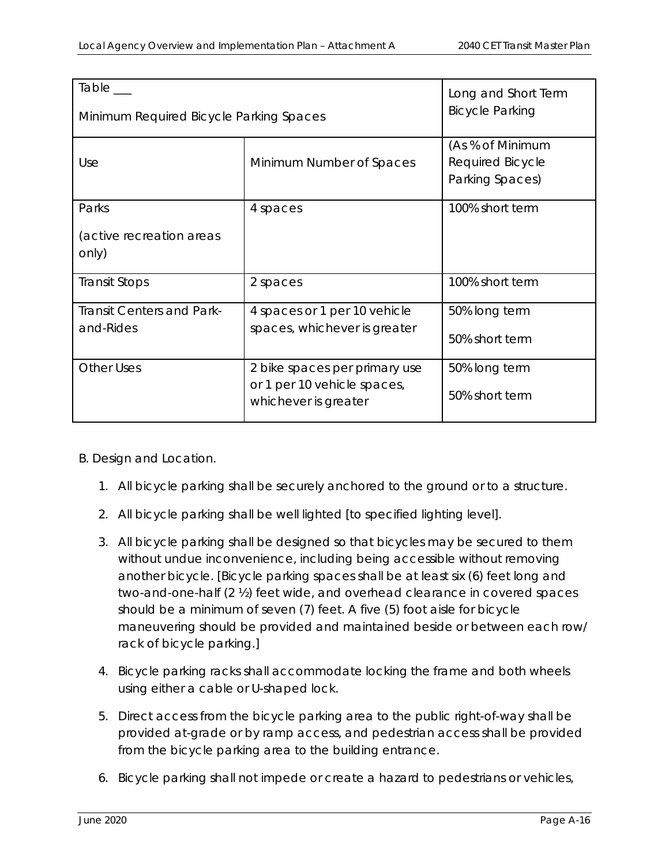| Table__<br>Minimum Required Bicycle Parking Spaces | Long and Short Term<br><b>Bicycle Parking</b>                                        |                                                                |
|----------------------------------------------------|--------------------------------------------------------------------------------------|----------------------------------------------------------------|
| Use                                                | Minimum Number of Spaces                                                             | (As % of Minimum<br><b>Required Bicycle</b><br>Parking Spaces) |
| Parks<br><i>(active recreation areas</i><br>only)  | 4 spaces                                                                             | 100% short term                                                |
| Transit Stops                                      | 2 spaces                                                                             | 100% short term                                                |
| <b>Transit Centers and Park-</b><br>and-Rides      | 4 spaces or 1 per 10 vehicle<br>spaces, whichever is greater                         | 50% long term<br>50% short term                                |
| <b>Other Uses</b>                                  | 2 bike spaces per primary use<br>or 1 per 10 vehicle spaces,<br>whichever is greater | 50% long term<br>50% short term                                |

*B. Design and Location.* 

- 1. All bicycle parking shall be securely anchored to the ground or to a structure.
- *2. All bicycle parking shall be well lighted [to specified lighting level].*
- *3. All bicycle parking shall be designed so that bicycles may be secured to them without undue inconvenience, including being accessible without removing another bicycle. [Bicycle parking spaces shall be at least six (6) feet long and two-and-one-half (2 ½) feet wide, and overhead clearance in covered spaces should be a minimum of seven (7) feet. A five (5) foot aisle for bicycle maneuvering should be provided and maintained beside or between each row/ rack of bicycle parking.]*
- *4. Bicycle parking racks shall accommodate locking the frame and both wheels using either a cable or U-shaped lock.*
- *5. Direct access from the bicycle parking area to the public right-of-way shall be provided at-grade or by ramp access, and pedestrian access shall be provided from the bicycle parking area to the building entrance.*
- *6. Bicycle parking shall not impede or create a hazard to pedestrians or vehicles,*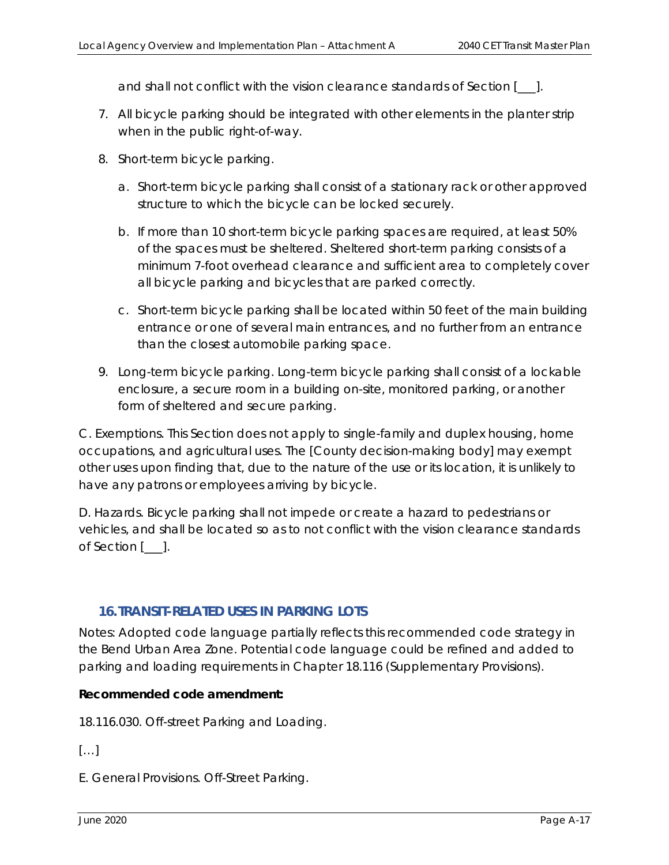*and shall not conflict with the vision clearance standards of Section [\_\_\_].* 

- *7. All bicycle parking should be integrated with other elements in the planter strip when in the public right-of-way.*
- *8. Short-term bicycle parking.* 
	- *a. Short-term bicycle parking shall consist of a stationary rack or other approved structure to which the bicycle can be locked securely.*
	- *b. If more than 10 short-term bicycle parking spaces are required, at least 50% of the spaces must be sheltered. Sheltered short-term parking consists of a minimum 7-foot overhead clearance and sufficient area to completely cover all bicycle parking and bicycles that are parked correctly.*
	- *c. Short-term bicycle parking shall be located within 50 feet of the main building entrance or one of several main entrances, and no further from an entrance than the closest automobile parking space.*
- *9. Long-term bicycle parking. Long-term bicycle parking shall consist of a lockable*  enclosure, a secure room in a building on-site, monitored parking, or another *form of sheltered and secure parking.*

*C. Exemptions. This Section does not apply to single-family and duplex housing, home occupations, and agricultural uses. The [County decision-making body] may exempt other uses upon finding that, due to the nature of the use or its location, it is unlikely to have any patrons or employees arriving by bicycle.* 

*D. Hazards. Bicycle parking shall not impede or create a hazard to pedestrians or vehicles, and shall be located so as to not conflict with the vision clearance standards of Section [\_\_\_].* 

# **16.TRANSIT-RELATED USES IN PARKING LOTS**

Notes*:* Adopted code language partially reflects this recommended code strategy in the Bend Urban Area Zone. Potential code language could be refined and added to parking and loading requirements in Chapter 18.116 (Supplementary Provisions).

#### **Recommended code amendment:**

18.116.030. Off-street Parking and Loading.

 $[\dots]$ 

E. General Provisions. Off-Street Parking.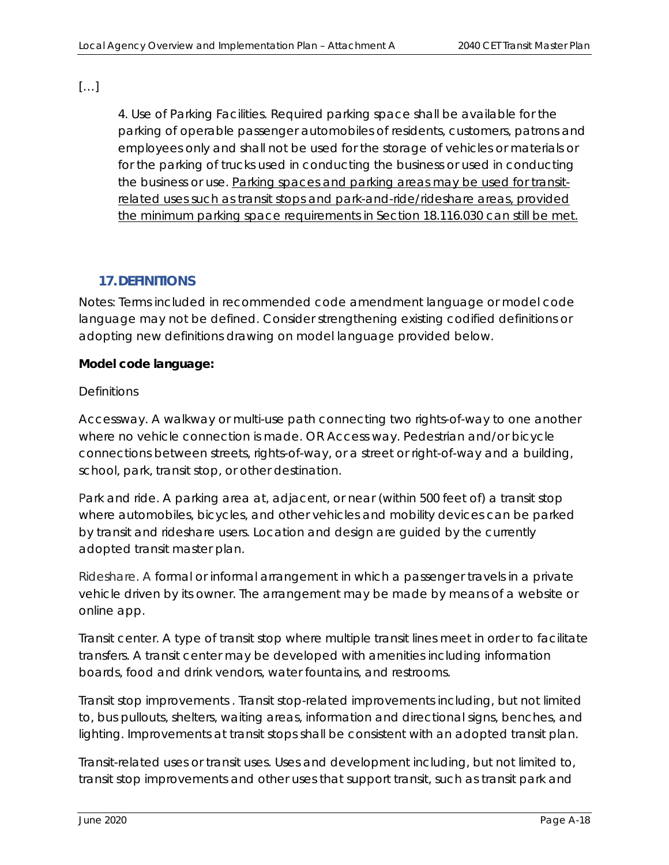[…]

4. Use of Parking Facilities. Required parking space shall be available for the parking of operable passenger automobiles of residents, customers, patrons and employees only and shall not be used for the storage of vehicles or materials or for the parking of trucks used in conducting the business or used in conducting the business or use. Parking spaces and parking areas may be used for transitrelated uses such as transit stops and park-and-ride/rideshare areas, provided the minimum parking space requirements in Section 18.116.030 can still be met.

# **17.DEFINITIONS**

Notes: Terms included in recommended code amendment language or model code language may not be defined. Consider strengthening existing codified definitions or adopting new definitions drawing on model language provided below.

#### **Model code language:**

#### *Definitions*

*Accessway. A walkway or multi-use path connecting two rights-of-way to one another where no vehicle connection is made. OR Access way. Pedestrian and/or bicycle connections between streets, rights-of-way, or a street or right-of-way and a building, school, park, transit stop, or other destination.* 

Park and ride. A parking area at, adjacent, or near (within 500 feet of) a transit stop *where automobiles, bicycles, and other vehicles and mobility devices can be parked by transit and rideshare users. Location and design are guided by the currently adopted transit master plan.* 

*Rideshare. A formal or informal arrangement in which a passenger travels in a private*  vehicle driven by its owner. The arrangement may be made by means of a website or *online app.* 

*Transit center. A type of transit stop where multiple transit lines meet in order to facilitate transfers. A transit center may be developed with amenities including information boards, food and drink vendors, water fountains, and restrooms.* 

*Transit stop improvements . Transit stop-related improvements including, but not limited to, bus pullouts, shelters, waiting areas, information and directional signs, benches, and*  lighting. Improvements at transit stops shall be consistent with an adopted transit plan.

*Transit-related uses or transit uses. Uses and development including, but not limited to, transit stop improvements and other uses that support transit, such as transit park and*